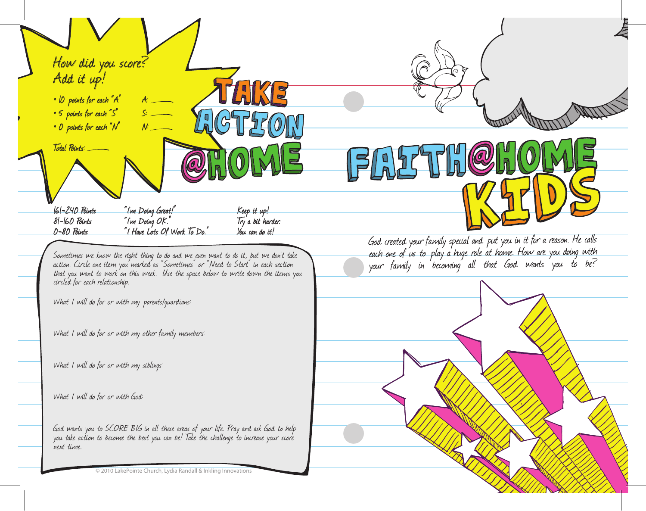